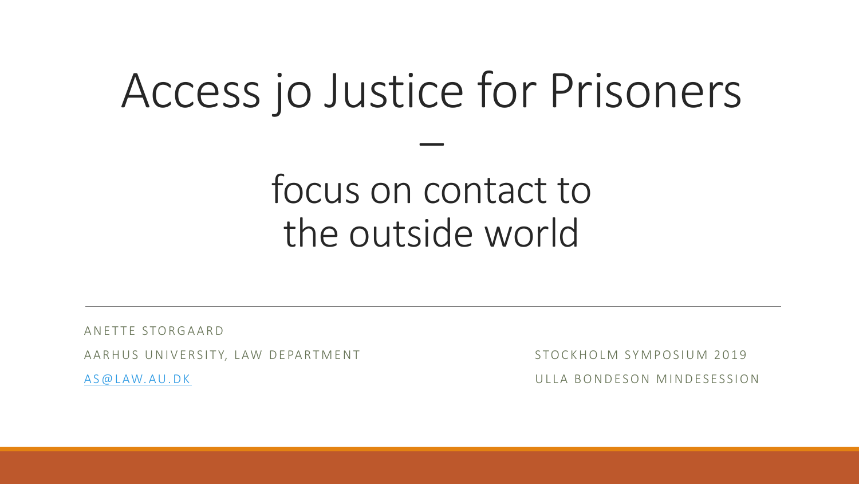## Access jo Justice for Prisoners

–

#### focus on contact to the outside world

AN FTTE STORGAARD

A A R HUS UNIVERSITY, LAW DEPARTMENT STOCKHOLM SYMPOSIUM 2019

A S @ LAW. A U . D K G ALL A B ON DESON MINDESESSION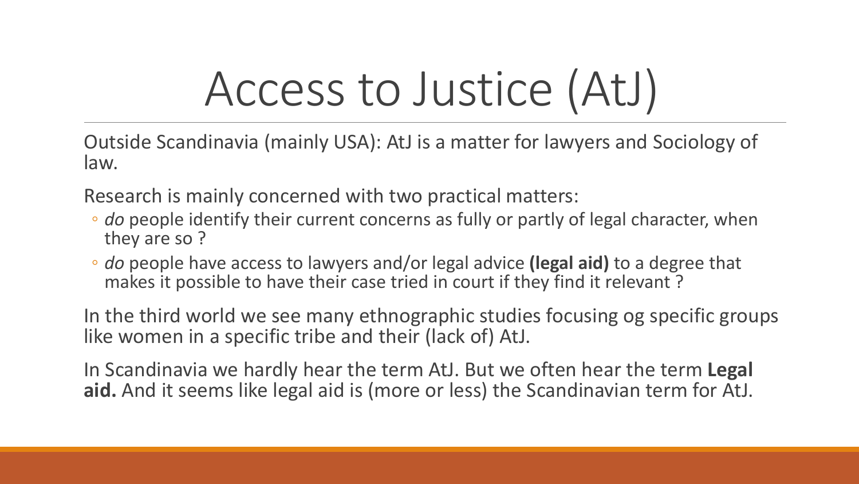# Access to Justice (AtJ)

Outside Scandinavia (mainly USA): AtJ is a matter for lawyers and Sociology of law.

Research is mainly concerned with two practical matters:

- *do* people identify their current concerns as fully or partly of legal character, when they are so ?
- *do* people have access to lawyers and/or legal advice **(legal aid)** to a degree that makes it possible to have their case tried in court if they find it relevant ?

In the third world we see many ethnographic studies focusing og specific groups like women in a specific tribe and their (lack of) AtJ.

In Scandinavia we hardly hear the term AtJ. But we often hear the term **Legal aid.** And it seems like legal aid is (more or less) the Scandinavian term for AtJ.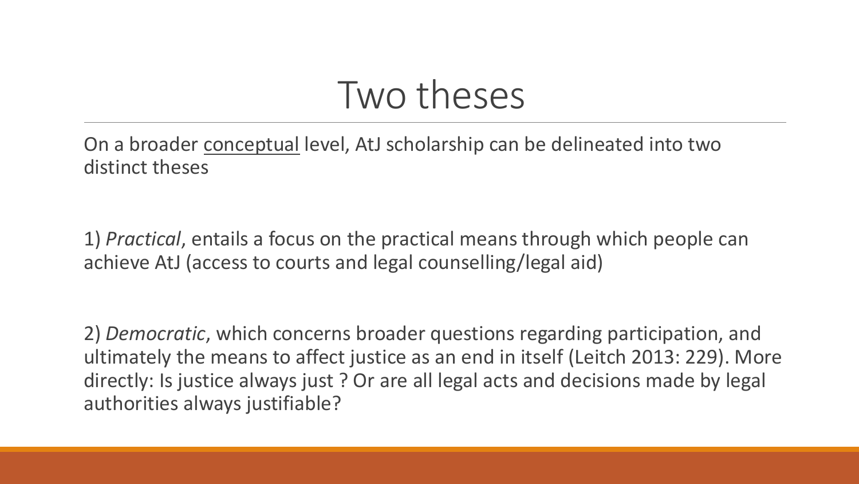#### Two theses

On a broader conceptual level, AtJ scholarship can be delineated into two distinct theses

1) *Practical*, entails a focus on the practical means through which people can achieve AtJ (access to courts and legal counselling/legal aid)

2) *Democratic*, which concerns broader questions regarding participation, and ultimately the means to affect justice as an end in itself (Leitch 2013: 229). More directly: Is justice always just ? Or are all legal acts and decisions made by legal authorities always justifiable?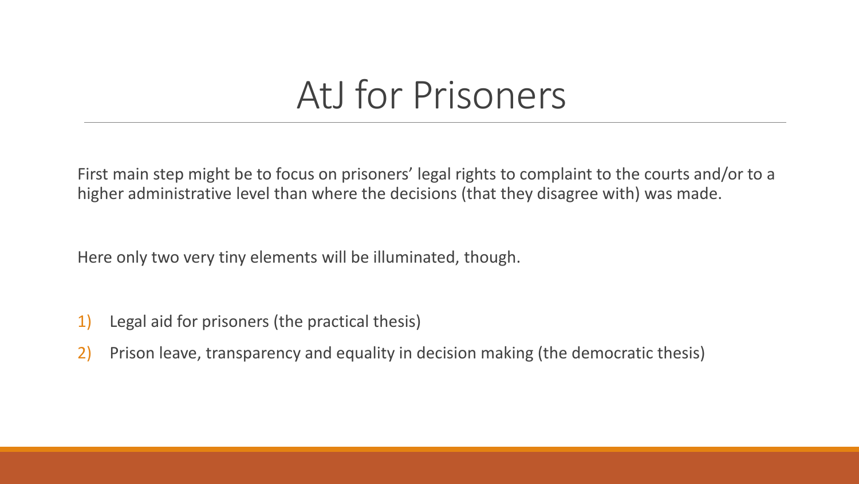#### AtJ for Prisoners

First main step might be to focus on prisoners' legal rights to complaint to the courts and/or to a higher administrative level than where the decisions (that they disagree with) was made.

Here only two very tiny elements will be illuminated, though.

- 1) Legal aid for prisoners (the practical thesis)
- 2) Prison leave, transparency and equality in decision making (the democratic thesis)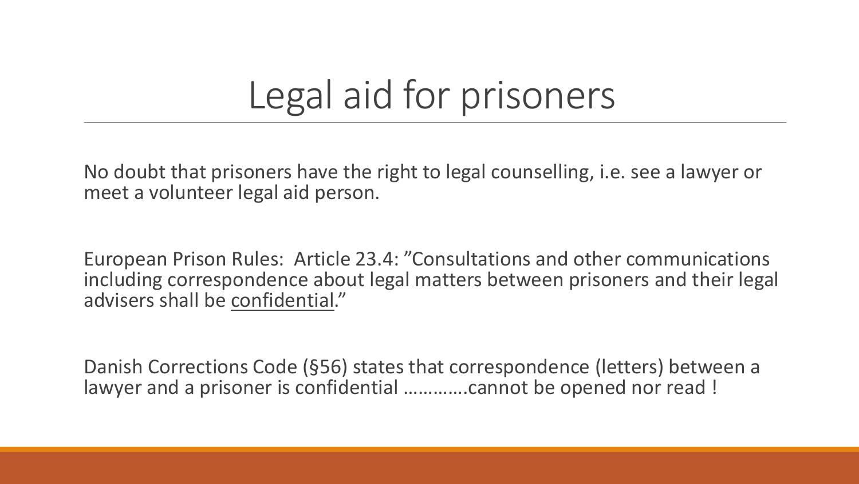#### Legal aid for prisoners

No doubt that prisoners have the right to legal counselling, i.e. see a lawyer or meet a volunteer legal aid person.

European Prison Rules: Article 23.4: "Consultations and other communications including correspondence about legal matters between prisoners and their legal advisers shall be confidential."

Danish Corrections Code (§56) states that correspondence (letters) between a lawyer and a prisoner is confidential ………….cannot be opened nor read !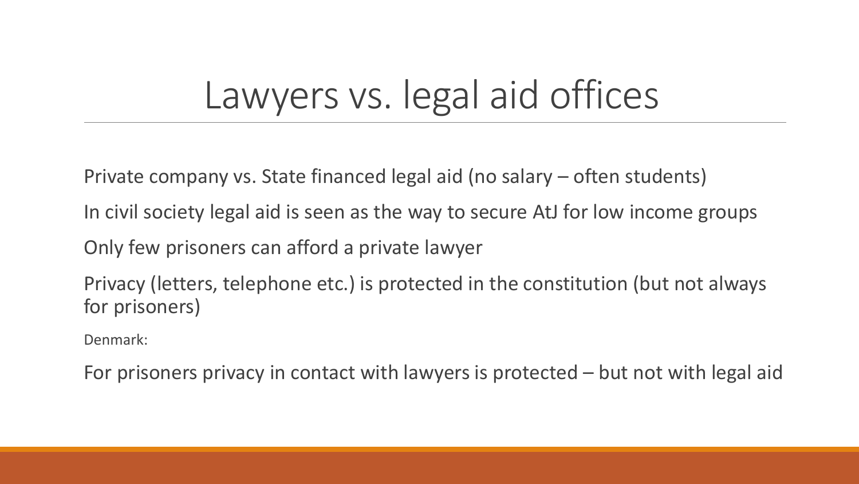#### Lawyers vs. legal aid offices

Private company vs. State financed legal aid (no salary – often students)

In civil society legal aid is seen as the way to secure AtJ for low income groups

Only few prisoners can afford a private lawyer

Privacy (letters, telephone etc.) is protected in the constitution (but not always for prisoners)

Denmark:

For prisoners privacy in contact with lawyers is protected – but not with legal aid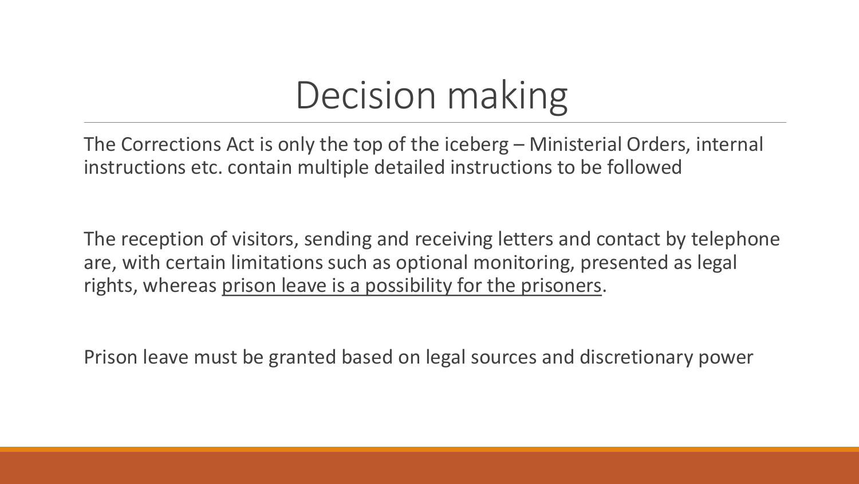#### Decision making

The Corrections Act is only the top of the iceberg – Ministerial Orders, internal instructions etc. contain multiple detailed instructions to be followed

The reception of visitors, sending and receiving letters and contact by telephone are, with certain limitations such as optional monitoring, presented as legal rights, whereas prison leave is a possibility for the prisoners.

Prison leave must be granted based on legal sources and discretionary power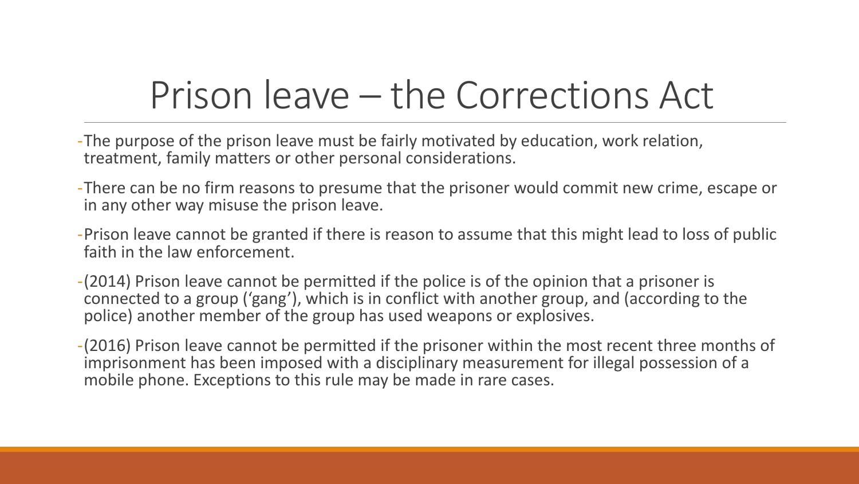#### Prison leave – the Corrections Act

- -The purpose of the prison leave must be fairly motivated by education, work relation, treatment, family matters or other personal considerations.
- -There can be no firm reasons to presume that the prisoner would commit new crime, escape or in any other way misuse the prison leave.
- -Prison leave cannot be granted if there is reason to assume that this might lead to loss of public faith in the law enforcement.
- -(2014) Prison leave cannot be permitted if the police is of the opinion that a prisoner is connected to a group ('gang'), which is in conflict with another group, and (according to the police) another member of the group has used weapons or explosives.
- -(2016) Prison leave cannot be permitted if the prisoner within the most recent three months of imprisonment has been imposed with a disciplinary measurement for illegal possession of a mobile phone. Exceptions to this rule may be made in rare cases.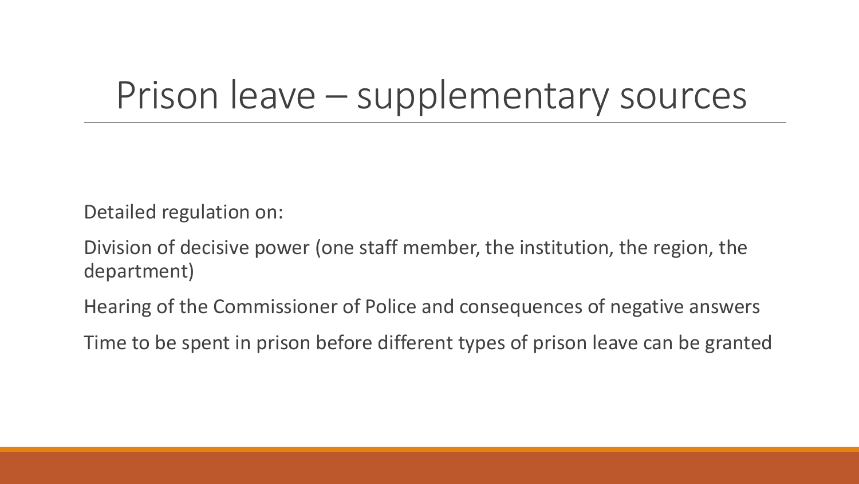#### Prison leave – supplementary sources

Detailed regulation on:

Division of decisive power (one staff member, the institution, the region, the department)

Hearing of the Commissioner of Police and consequences of negative answers

Time to be spent in prison before different types of prison leave can be granted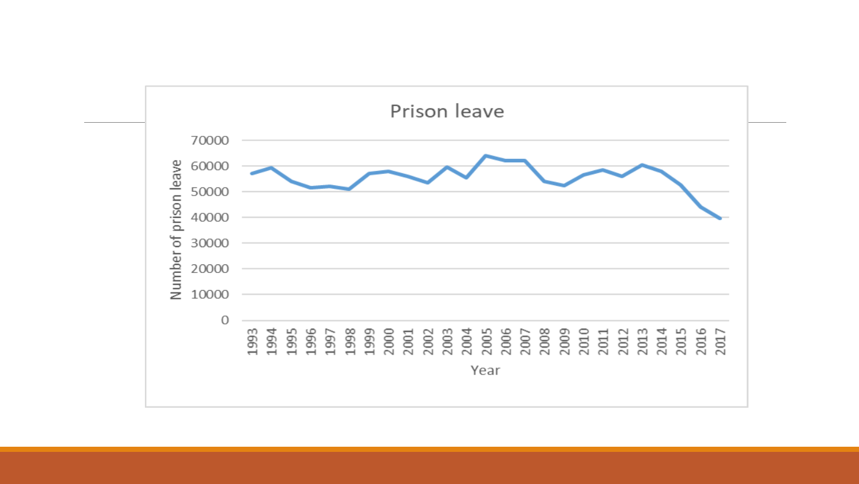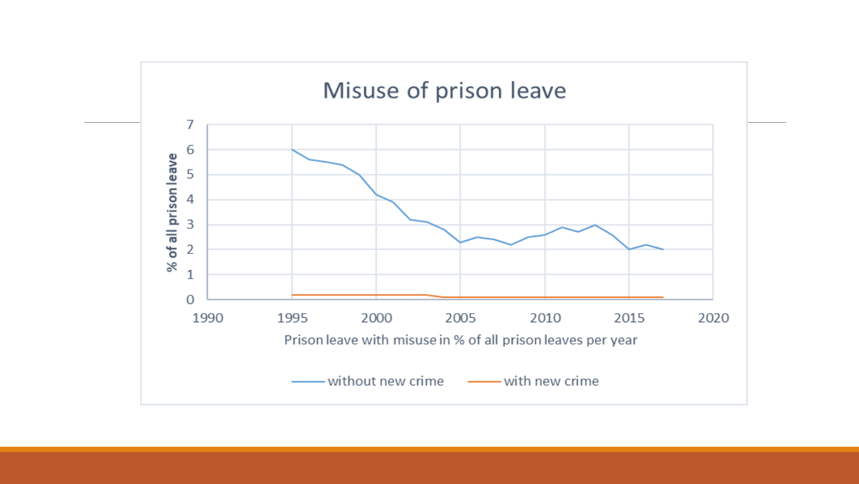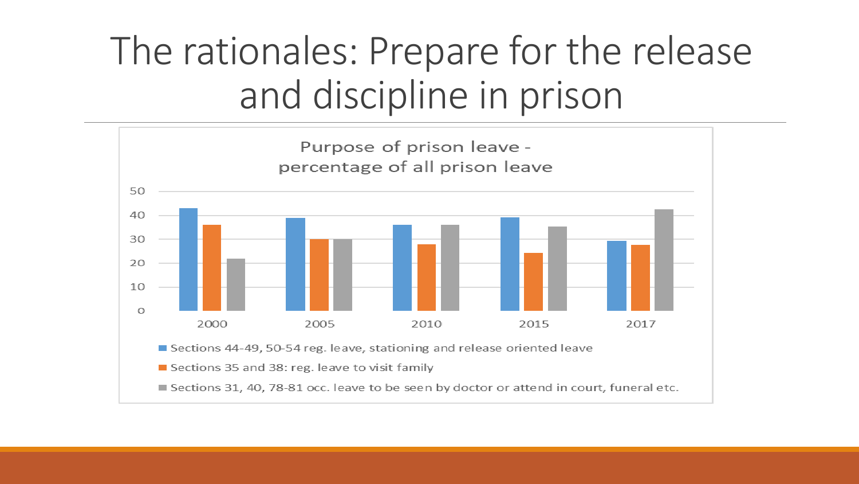### The rationales: Prepare for the release and discipline in prison